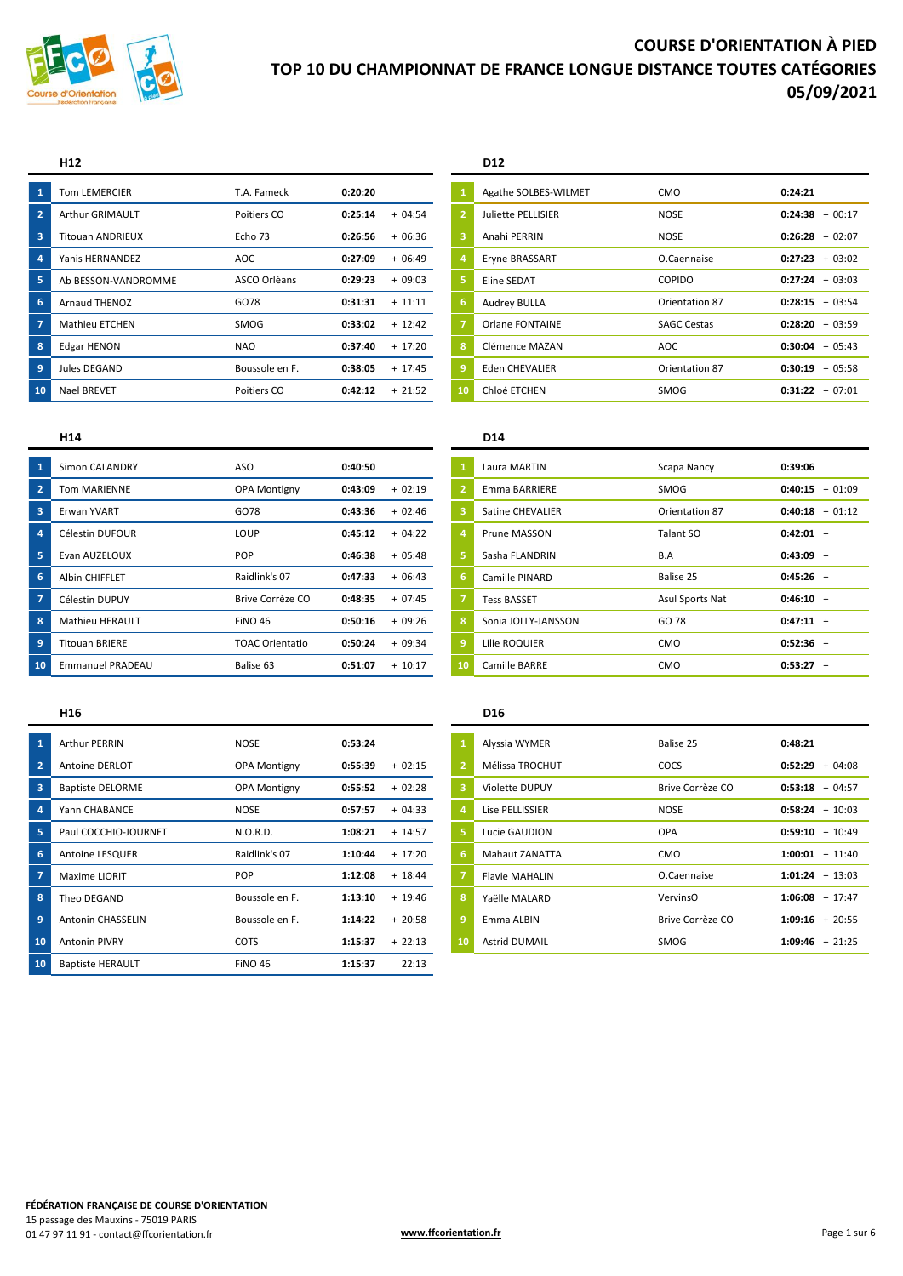

## H<sub>12</sub>

| 1              | <b>Tom LEMERCIER</b>    | T.A. Fameck    | 0:20:20 |          |
|----------------|-------------------------|----------------|---------|----------|
| $\overline{2}$ | Arthur GRIMAULT         | Poitiers CO    | 0:25:14 | $+04:54$ |
| 3              | <b>Titouan ANDRIEUX</b> | Echo 73        | 0:26:56 | $+06:36$ |
| 4              | Yanis HERNANDEZ         | <b>AOC</b>     | 0:27:09 | $+06:49$ |
| 5              | Ab BESSON-VANDROMME     | ASCO Orlèans   | 0:29:23 | $+09:03$ |
| 6              | Arnaud THENOZ           | GO78           | 0:31:31 | $+11:11$ |
| 7              | Mathieu ETCHEN          | <b>SMOG</b>    | 0:33:02 | $+12:42$ |
| 8              | <b>Edgar HENON</b>      | NAO            | 0:37:40 | $+17:20$ |
| 9              | Jules DEGAND            | Boussole en F. | 0:38:05 | $+17:45$ |
| 10             | <b>Nael BREVET</b>      | Poitiers CO    | 0:42:12 | $+21:52$ |

## D<sub>12</sub>

| $\mathbf{1}$   | Agathe SOLBES-WILMET   | CMO                | 0:24:21             |
|----------------|------------------------|--------------------|---------------------|
| $\overline{2}$ | Juliette PELLISIER     | NOSE               | 0:24:38<br>$+00:17$ |
| 3              | Anahi PERRIN           | <b>NOSE</b>        | 0:26:28<br>$+02:07$ |
| 4              | Eryne BRASSART         | O.Caennaise        | 0:27:23<br>$+03:02$ |
| 5              | Eline SEDAT            | <b>COPIDO</b>      | 0:27:24<br>$+03:03$ |
| 6              | <b>Audrey BULLA</b>    | Orientation 87     | $0:28:15 + 03:54$   |
| $\overline{7}$ | <b>Orlane FONTAINE</b> | <b>SAGC Cestas</b> | 0:28:20<br>$+03:59$ |
| 8              | Clémence MAZAN         | <b>AOC</b>         | 0:30:04<br>$+05:43$ |
| 9              | <b>Eden CHEVALIER</b>  | Orientation 87     | 0:30:19<br>$+05:58$ |
| 10             | Chloé ETCHEN           | SMOG               | 0:31:22<br>$+07:01$ |
|                |                        |                    |                     |

## H<sub>14</sub>

| 1              | Simon CALANDRY          | ASO                    | 0:40:50 |          |
|----------------|-------------------------|------------------------|---------|----------|
| $\overline{2}$ | <b>Tom MARIENNE</b>     | <b>OPA Montigny</b>    | 0:43:09 | $+02:19$ |
| $\overline{3}$ | <b>Erwan YVART</b>      | GO78                   | 0:43:36 | $+02:46$ |
| 4              | Célestin DUFOUR         | LOUP                   | 0:45:12 | $+04:22$ |
| 5              | Evan AUZELOUX           | <b>POP</b>             | 0:46:38 | $+05:48$ |
| 6              | Albin CHIFFLET          | Raidlink's 07          | 0:47:33 | + 06:43  |
| $\overline{7}$ | Célestin DUPUY          | Brive Corrèze CO       | 0:48:35 | $+07:45$ |
| 8              | <b>Mathieu HERAULT</b>  | <b>FINO 46</b>         | 0:50:16 | $+09:26$ |
| 9              | <b>Titouan BRIERE</b>   | <b>TOAC Orientatio</b> | 0:50:24 | $+09:34$ |
| 10             | <b>Emmanuel PRADEAU</b> | Balise 63              | 0:51:07 | $+10:17$ |

## D<sub>14</sub>

| $\mathbf{1}$   | Laura MARTIN        | Scapa Nancy     | 0:39:06           |                |
|----------------|---------------------|-----------------|-------------------|----------------|
| $\overline{2}$ | Emma BARRIERE       | SMOG            | 0:40:15           | $+01:09$       |
| 3              | Satine CHEVALIER    | Orientation 87  | $0:40:18 + 01:12$ |                |
| 4              | Prune MASSON        | Talant SO       | $0:42:01 +$       |                |
| 5              | Sasha FLANDRIN      | B.A             | $0:43:09 +$       |                |
| 6              | Camille PINARD      | Balise 25       | $0:45:26 +$       |                |
| $\overline{7}$ | <b>Tess BASSET</b>  | Asul Sports Nat | $0:46:10 +$       |                |
| 8              | Sonia JOLLY-JANSSON | GO 78           | $0:47:11 +$       |                |
| 9              | Lilie ROQUIER       | CMO             | $0:52:36 +$       |                |
| 10             | Camille BARRE       | <b>CMO</b>      | 0:53:27           | $\overline{+}$ |

## H<sub>16</sub>

| $\mathbf{1}$   | <b>Arthur PERRIN</b>     | <b>NOSE</b>         | 0:53:24 |           |
|----------------|--------------------------|---------------------|---------|-----------|
| $\overline{2}$ | Antoine DERLOT           | <b>OPA Montigny</b> | 0:55:39 | $+02:15$  |
| 3              | <b>Baptiste DELORME</b>  | <b>OPA Montigny</b> | 0:55:52 | $+02:28$  |
| 4              | Yann CHABANCE            | NOSE                | 0:57:57 | $+04:33$  |
| 5              | Paul COCCHIO-JOURNET     | N.O.R.D.            | 1:08:21 | $+ 14:57$ |
| 6              | Antoine LESQUER          | Raidlink's 07       | 1:10:44 | $+17:20$  |
| $\overline{ }$ | Maxime LIORIT            | <b>POP</b>          | 1:12:08 | $+18:44$  |
| 8              | Theo DEGAND              | Boussole en F.      | 1:13:10 | $+19:46$  |
| Ig,            | <b>Antonin CHASSELIN</b> | Boussole en F.      | 1:14:22 | $+20:58$  |
| 10             | <b>Antonin PIVRY</b>     | <b>COTS</b>         | 1:15:37 | $+22:13$  |
| 10             | <b>Baptiste HERAULT</b>  | <b>FINO 46</b>      | 1:15:37 | 22:13     |

## D<sub>16</sub>

| 1              | Alyssia WYMER         | Balise 25        | 0:48:21              |
|----------------|-----------------------|------------------|----------------------|
| $\overline{2}$ | Mélissa TROCHUT       | COCS             | 0:52:29<br>$+04:08$  |
| 3              | <b>Violette DUPUY</b> | Brive Corrèze CO | $0:53:18 + 04:57$    |
| 4              | Lise PELLISSIER       | <b>NOSE</b>      | $0:58:24 + 10:03$    |
| 5              | Lucie GAUDION         | OPA              | $0:59:10 + 10:49$    |
| 6              | <b>Mahaut ZANATTA</b> | CMO              | 1:00:01<br>$+ 11:40$ |
| $\overline{7}$ | <b>Flavie MAHALIN</b> | O.Caennaise      | $1:01:24 + 13:03$    |
| 8              | Yaëlle MALARD         | VervinsO         | $1:06:08 + 17:47$    |
| 9              | Emma ALBIN            | Brive Corrèze CO | $1:09:16 + 20:55$    |
| 10             | <b>Astrid DUMAIL</b>  | <b>SMOG</b>      | 1:09:46<br>$+21:25$  |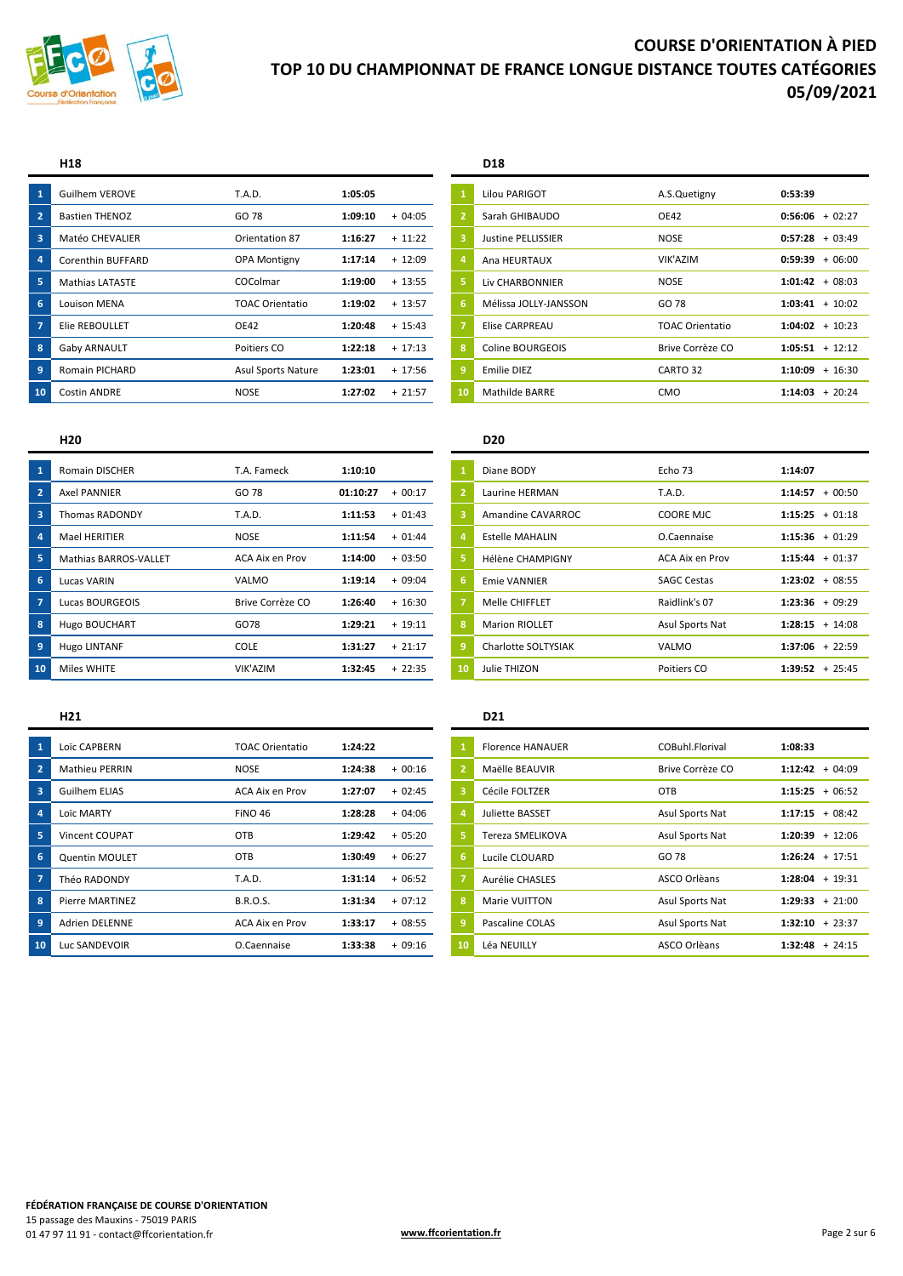

| $\mathbf{1}$            | Guilhem VEROVE         | <b>T.A.D.</b>             | 1:05:05 |           |    | Lilou PARIGOT             | A.S.Quetigny           | 0:53:39             |
|-------------------------|------------------------|---------------------------|---------|-----------|----|---------------------------|------------------------|---------------------|
| $\overline{2}$          | <b>Bastien THENOZ</b>  | GO 78                     | 1:09:10 | $+04:05$  |    | Sarah GHIBAUDO            | <b>OE42</b>            | $0:56:06 + 02:27$   |
| $\overline{\mathbf{3}}$ | Matéo CHEVALIER        | Orientation 87            | 1:16:27 | $+ 11:22$ |    | <b>Justine PELLISSIER</b> | <b>NOSE</b>            | $+03:49$<br>0:57:28 |
| 4                       | Corenthin BUFFARD      | <b>OPA Montigny</b>       | 1:17:14 | $+12:09$  |    | Ana HEURTAUX              | VIK'AZIM               | $+06:00$<br>0:59:39 |
| 5                       | <b>Mathias LATASTE</b> | COColmar                  | 1:19:00 | $+13:55$  |    | Liv CHARBONNIER           | <b>NOSE</b>            | $1:01:42 + 08:03$   |
| 6                       | <b>Louison MENA</b>    | <b>TOAC Orientatio</b>    | 1:19:02 | $+ 13:57$ | 6  | Mélissa JOLLY-JANSSON     | GO 78                  | $1:03:41 + 10:02$   |
| $\overline{7}$          | Elie REBOULLET         | OE42                      | 1:20:48 | $+ 15:43$ |    | <b>Elise CARPREAU</b>     | <b>TOAC Orientatio</b> | $1:04:02 + 10:23$   |
| 8                       | Gaby ARNAULT           | Poitiers CO               | 1:22:18 | $+17:13$  | 8  | Coline BOURGEOIS          | Brive Corrèze CO       | $1:05:51 + 12:12$   |
| 9                       | <b>Romain PICHARD</b>  | <b>Asul Sports Nature</b> | 1:23:01 | $+ 17:56$ |    | Emilie DIEZ               | CARTO 32               | $+16:30$<br>1:10:09 |
| 10                      | <b>Costin ANDRE</b>    | <b>NOSE</b>               | 1:27:02 | $+21:57$  | 10 | <b>Mathilde BARRE</b>     | <b>CMO</b>             | $+20:24$<br>1:14:03 |

### **H18 D18**

|     | Guilhem VEROVE         | T.A.D.                    | 1:05:05 |           |                       | Lilou PARIGOT             | A.S.Quetigny           | 0:53:39           |
|-----|------------------------|---------------------------|---------|-----------|-----------------------|---------------------------|------------------------|-------------------|
|     | <b>Bastien THENOZ</b>  | GO 78                     | 1:09:10 | $+04:05$  | $\mathbf{2}^{\prime}$ | Sarah GHIBAUDO            | <b>OE42</b>            | $0:56:06 + 02:27$ |
|     | Matéo CHEVALIER        | Orientation 87            | 1:16:27 | $+11:22$  | 3                     | <b>Justine PELLISSIER</b> | <b>NOSE</b>            | $0:57:28 + 03:49$ |
|     | Corenthin BUFFARD      | <b>OPA Montigny</b>       | 1:17:14 | $+12:09$  | $\overline{a}$        | Ana HEURTAUX              | VIK'AZIM               | $0:59:39 + 06:00$ |
|     | <b>Mathias LATASTE</b> | <b>COColmar</b>           | 1:19:00 | $+ 13:55$ | 5                     | Liv CHARBONNIER           | <b>NOSE</b>            | $1:01:42 + 08:03$ |
|     | <b>Louison MENA</b>    | <b>TOAC Orientatio</b>    | 1:19:02 | $+ 13:57$ | 6                     | Mélissa JOLLY-JANSSON     | GO 78                  | $1:03:41 + 10:02$ |
|     | Elie REBOULLET         | OE42                      | 1:20:48 | $+15:43$  | 7                     | <b>Elise CARPREAU</b>     | <b>TOAC Orientatio</b> | $1:04:02 + 10:23$ |
|     | Gaby ARNAULT           | Poitiers CO               | 1:22:18 | $+17:13$  | 8                     | Coline BOURGEOIS          | Brive Corrèze CO       | $1:05:51 + 12:12$ |
|     | <b>Romain PICHARD</b>  | <b>Asul Sports Nature</b> | 1:23:01 | $+17:56$  | 9                     | Emilie DIEZ               | CARTO 32               | $1:10:09 + 16:30$ |
| LO. | <b>Costin ANDRE</b>    | <b>NOSE</b>               | 1:27:02 | $+21:57$  | 10                    | Mathilde BARRE            | <b>CMO</b>             | $1:14:03 + 20:24$ |

|                         | <b>Romain DISCHER</b>        | T.A. Fameck      | 1:10:10  |          |    | Diane BODY             | Echo 73            | 1:14:07           |
|-------------------------|------------------------------|------------------|----------|----------|----|------------------------|--------------------|-------------------|
|                         | <b>Axel PANNIER</b>          | GO 78            | 01:10:27 | $+00:17$ |    | Laurine HERMAN         | T.A.D.             | $1:14:57 + 00:50$ |
| $\overline{\mathbf{3}}$ | <b>Thomas RADONDY</b>        | T.A.D.           | 1:11:53  | $+01:43$ |    | Amandine CAVARROC      | <b>COORE MJC</b>   | $1:15:25 + 01:18$ |
|                         | <b>Mael HERITIER</b>         | <b>NOSE</b>      | 1:11:54  | $+01:44$ |    | <b>Estelle MAHALIN</b> | O.Caennaise        | $1:15:36 + 01:29$ |
|                         | <b>Mathias BARROS-VALLET</b> | ACA Aix en Prov  | 1:14:00  | $+03:50$ |    | Hélène CHAMPIGNY       | ACA Aix en Prov    | $1:15:44 + 01:37$ |
| 6                       | Lucas VARIN                  | VALMO            | 1:19:14  | $+09:04$ | 6. | Emie VANNIER           | <b>SAGC Cestas</b> | $1:23:02 + 08:55$ |
|                         | Lucas BOURGEOIS              | Brive Corrèze CO | 1:26:40  | $+16:30$ |    | Melle CHIFFLET         | Raidlink's 07      | $1:23:36 + 09:29$ |
| 8                       | Hugo BOUCHART                | GO78             | 1:29:21  | $+19:11$ | 8  | <b>Marion RIOLLET</b>  | Asul Sports Nat    | $1:28:15 + 14:08$ |
|                         | Hugo LINTANF                 | COLE             | 1:31:27  | $+21:17$ |    | Charlotte SOLTYSIAK    | VALMO              | $1:37:06 + 22:59$ |
| 10                      | Miles WHITE                  | VIK'AZIM         | 1:32:45  | $+22:35$ | 10 | Julie THIZON           | Poitiers CO        | $1:39:52 + 25:45$ |
|                         |                              |                  |          |          |    |                        |                    |                   |

| $\overline{1}$          | Loïc CAPBERN           | <b>TOAC Orientatio</b> | 1:24:22             |    | <b>Florence HANAUER</b> | COBuhl.Florival  | 1:08:33              |
|-------------------------|------------------------|------------------------|---------------------|----|-------------------------|------------------|----------------------|
| $\overline{2}$          | <b>Mathieu PERRIN</b>  | <b>NOSE</b>            | 1:24:38<br>$+00:16$ |    | Maëlle BEAUVIR          | Brive Corrèze CO | $+04:09$<br>1:12:42  |
| $\overline{\mathbf{3}}$ | Guilhem ELIAS          | <b>ACA Aix en Prov</b> | 1:27:07<br>$+02:45$ |    | Cécile FOLTZER          | <b>OTB</b>       | $+06:52$<br>1:15:25  |
| $\overline{4}$          | Loïc MARTY             | <b>FINO 46</b>         | 1:28:28<br>$+04:06$ |    | Juliette BASSET         | Asul Sports Nat  | $1:17:15 + 08:42$    |
| 5                       | <b>Vincent COUPAT</b>  | OTB                    | $+05:20$<br>1:29:42 |    | Tereza SMELIKOVA        | Asul Sports Nat  | $+ 12:06$<br>1:20:39 |
| 6                       | <b>Quentin MOULET</b>  | OTB                    | 1:30:49<br>$+06:27$ | -6 | Lucile CLOUARD          | GO 78            | $+17:51$<br>1:26:24  |
| $\overline{7}$          | Théo RADONDY           | <b>T.A.D.</b>          | $+06:52$<br>1:31:14 |    | Aurélie CHASLES         | ASCO Orlèans     | $+19:31$<br>1:28:04  |
| $\overline{\mathbf{8}}$ | <b>Pierre MARTINEZ</b> | <b>B.R.O.S.</b>        | $+07:12$<br>1:31:34 | 8  | Marie VUITTON           | Asul Sports Nat  | $+21:00$<br>1:29:33  |
| $\overline{9}$          | <b>Adrien DELENNE</b>  | ACA Aix en Prov        | $+08:55$<br>1:33:17 |    | Pascaline COLAS         | Asul Sports Nat  | $1:32:10 + 23:37$    |
| 10                      | Luc SANDEVOIR          | O.Caennaise            | 1:33:38<br>$+09:16$ | 10 | Léa NEUILLY             | ASCO Orlèans     | $+24:15$<br>1:32:48  |

### **H20 D20**

|     | <b>Romain DISCHER</b>        | T.A. Fameck      | 1:10:10  |          |                | Diane BODY              | Echo 73            | 1:14:07             |
|-----|------------------------------|------------------|----------|----------|----------------|-------------------------|--------------------|---------------------|
|     | <b>Axel PANNIER</b>          | GO 78            | 01:10:27 | $+00:17$ | $\overline{2}$ | Laurine HERMAN          | <b>T.A.D.</b>      | 1:14:57<br>$+00:50$ |
|     | Thomas RADONDY               | <b>T.A.D.</b>    | 1:11:53  | $+01:43$ | 3              | Amandine CAVARROC       | <b>COORE MJC</b>   | $1:15:25 + 01:18$   |
|     | Mael HERITIER                | <b>NOSE</b>      | 1:11:54  | $+01:44$ |                | <b>Estelle MAHALIN</b>  | O.Caennaise        | $1:15:36 + 01:29$   |
|     | <b>Mathias BARROS-VALLET</b> | ACA Aix en Prov  | 1:14:00  | $+03:50$ | 5.             | <b>Hélène CHAMPIGNY</b> | ACA Aix en Prov    | $1:15:44 + 01:37$   |
|     | Lucas VARIN                  | VALMO            | 1:19:14  | $+09:04$ | 6              | <b>Emie VANNIER</b>     | <b>SAGC Cestas</b> | $1:23:02 + 08:55$   |
|     | Lucas BOURGEOIS              | Brive Corrèze CO | 1:26:40  | $+16:30$ |                | Melle CHIFFLET          | Raidlink's 07      | $1:23:36 + 09:29$   |
|     | <b>Hugo BOUCHART</b>         | GO78             | 1:29:21  | $+19:11$ | 8              | <b>Marion RIOLLET</b>   | Asul Sports Nat    | $1:28:15 + 14:08$   |
|     | Hugo LINTANF                 | <b>COLE</b>      | 1:31:27  | $+21:17$ | 9              | Charlotte SOLTYSIAK     | VALMO              | $1:37:06 + 22:59$   |
| LO. | Miles WHITE                  | VIK'AZIM         | 1:32:45  | $+22:35$ | 10             | Julie THIZON            | Poitiers CO        | $1:39:52 + 25:45$   |

## **H21 D21**

|    | Loïc CAPBERN           | <b>TOAC Orientatio</b> | 1:24:22 |          |                | <b>Florence HANAUER</b> | COBuhl.Florival        | 1:08:33           |
|----|------------------------|------------------------|---------|----------|----------------|-------------------------|------------------------|-------------------|
|    | <b>Mathieu PERRIN</b>  | <b>NOSE</b>            | 1:24:38 | $+00:16$ | $\overline{2}$ | Maëlle BEAUVIR          | Brive Corrèze CO       | $1:12:42 + 04:09$ |
|    | <b>Guilhem ELIAS</b>   | ACA Aix en Prov        | 1:27:07 | $+02:45$ | 3              | Cécile FOLTZER          | <b>OTB</b>             | $1:15:25 + 06:52$ |
|    | Loïc MARTY             | <b>FINO 46</b>         | 1:28:28 | $+04:06$ | 4              | Juliette BASSET         | <b>Asul Sports Nat</b> | $1:17:15 + 08:42$ |
|    | <b>Vincent COUPAT</b>  | OTB                    | 1:29:42 | $+05:20$ | Ι5,            | Tereza SMELIKOVA        | Asul Sports Nat        | $1:20:39 + 12:06$ |
|    | <b>Quentin MOULET</b>  | OTB                    | 1:30:49 | $+06:27$ | 6              | Lucile CLOUARD          | GO 78                  | $1:26:24 + 17:51$ |
|    | Théo RADONDY           | <b>T.A.D.</b>          | 1:31:14 | $+06:52$ |                | Aurélie CHASLES         | ASCO Orlèans           | $1:28:04 + 19:31$ |
|    | <b>Pierre MARTINEZ</b> | <b>B.R.O.S.</b>        | 1:31:34 | $+07:12$ | 8              | Marie VUITTON           | Asul Sports Nat        | $1:29:33 + 21:00$ |
|    | <b>Adrien DELENNE</b>  | ACA Aix en Prov        | 1:33:17 | $+08:55$ | 9              | Pascaline COLAS         | Asul Sports Nat        | $1:32:10 + 23:37$ |
| Ю. | Luc SANDEVOIR          | O.Caennaise            | 1:33:38 | $+09:16$ | 10             | Léa NEUILLY             | ASCO Orlèans           | $1:32:48 + 24:15$ |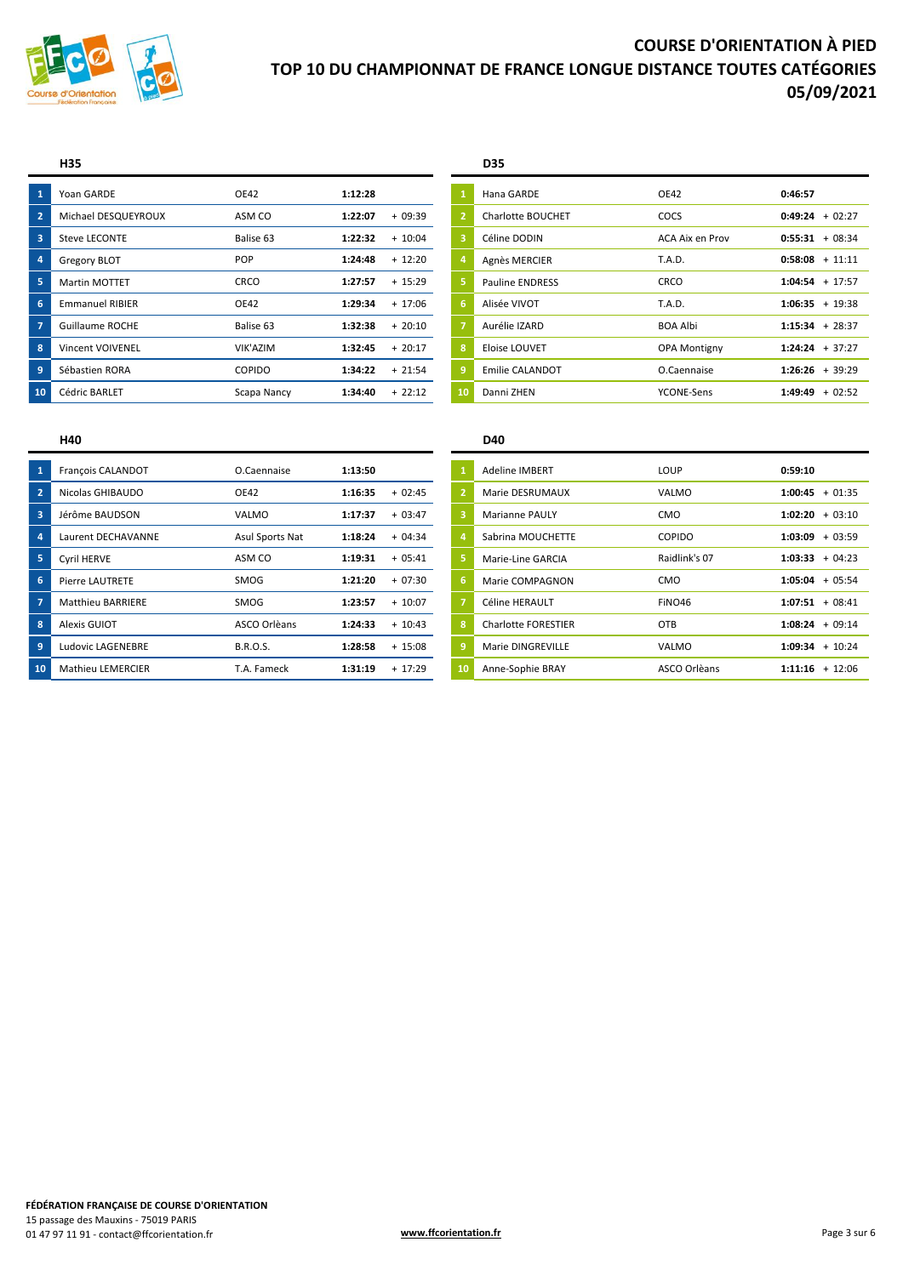

|    | Yoan GARDE              | <b>OE42</b>   | 1:12:28 |                | Hana GARDE             | <b>OE42</b>         | 0:46:57             |
|----|-------------------------|---------------|---------|----------------|------------------------|---------------------|---------------------|
|    | Michael DESQUEYROUX     | ASM CO        | 1:22:07 | $+09:39$       | Charlotte BOUCHET      | COCS                | $0:49:24 + 02:27$   |
| 3  | Steve LECONTE           | Balise 63     | 1:22:32 | $+10:04$       | Céline DODIN           | ACA Aix en Prov     | $0:55:31 + 08:34$   |
|    | Gregory BLOT            | POP           | 1:24:48 | $+ 12:20$      | Agnès MERCIER          | <b>T.A.D.</b>       | $0:58:08 + 11:11$   |
|    | <b>Martin MOTTET</b>    | <b>CRCO</b>   | 1:27:57 | $+ 15:29$      | <b>Pauline ENDRESS</b> | CRCO                | $1:04:54 + 17:57$   |
| 6  | <b>Emmanuel RIBIER</b>  | OE42          | 1:29:34 | $+17:06$<br>6  | Alisée VIVOT           | T.A.D.              | $1:06:35 + 19:38$   |
|    | <b>Guillaume ROCHE</b>  | Balise 63     | 1:32:38 | $+20:10$       | Aurélie IZARD          | <b>BOA Albi</b>     | $1:15:34 + 28:37$   |
| 8  | <b>Vincent VOIVENEL</b> | VIK'AZIM      | 1:32:45 | $+20:17$<br>8  | Eloise LOUVET          | <b>OPA Montigny</b> | $1:24:24 + 37:27$   |
| 9  | Sébastien RORA          | <b>COPIDO</b> | 1:34:22 | $+21:54$       | <b>Emilie CALANDOT</b> | O.Caennaise         | $1:26:26 + 39:29$   |
| 10 | <b>Cédric BARLET</b>    | Scapa Nancy   | 1:34:40 | 10<br>$+22:12$ | Danni ZHEN             | YCONE-Sens          | $+02:52$<br>1:49:49 |

## **H35 D35**

| 1              | Hana GARDE             | OE42                   | 0:46:57             |
|----------------|------------------------|------------------------|---------------------|
| $\overline{2}$ | Charlotte BOUCHET      | COCS                   | $+02:27$<br>0:49:24 |
| 3              | Céline DODIN           | <b>ACA Aix en Prov</b> | 0:55:31<br>$+08:34$ |
| 4              | Agnès MERCIER          | T.A.D.                 | $0:58:08 + 11:11$   |
| 5              | <b>Pauline ENDRESS</b> | CRCO                   | 1:04:54<br>$+17:57$ |
| 6              | Alisée VIVOT           | T.A.D.                 | $1:06:35 + 19:38$   |
| $\overline{7}$ | Aurélie IZARD          | <b>BOA Albi</b>        | $1:15:34 + 28:37$   |
| 8              | Eloise LOUVET          | <b>OPA Montigny</b>    | $1:24:24 + 37:27$   |
| 9              | <b>Emilie CALANDOT</b> | O.Caennaise            | $1:26:26 + 39:29$   |
| 10             | Danni ZHEN             | YCONE-Sens             | 1:49:49<br>$+02:52$ |

| O.Caennaise     | 1:13:50              | <b>Adeline IMBERT</b>                      | LOUP          | 0:59:10             |
|-----------------|----------------------|--------------------------------------------|---------------|---------------------|
|                 |                      |                                            |               |                     |
|                 | 1:16:35<br>$+02:45$  | Marie DESRUMAUX                            | VALMO         | 1:00:45<br>$+01:35$ |
| VALMO           | 1:17:37<br>$+03:47$  | <b>Marianne PAULY</b>                      | CMO           | $1:02:20 + 03:10$   |
| Asul Sports Nat | 1:18:24<br>$+04:34$  | Sabrina MOUCHETTE                          | <b>COPIDO</b> | $+03:59$<br>1:03:09 |
| ASM CO          | 1:19:31<br>$+05:41$  | Marie-Line GARCIA                          | Raidlink's 07 | $1:03:33 + 04:23$   |
| SMOG            | 1:21:20<br>$+07:30$  | Marie COMPAGNON<br>6.                      | <b>CMO</b>    | $+05:54$<br>1:05:04 |
| SMOG            | 1:23:57<br>$+ 10:07$ | Céline HERAULT                             | FINO46        | $1:07:51 + 08:41$   |
| ASCO Orlèans    | 1:24:33<br>$+10:43$  | $\mathbf{R}$<br><b>Charlotte FORESTIER</b> | OTB           | $+09:14$<br>1:08:24 |
| <b>B.R.O.S.</b> | 1:28:58<br>$+ 15:08$ | Marie DINGREVILLE                          | VALMO         | $1:09:34 + 10:24$   |
| T.A. Fameck     | 1:31:19<br>$+17:29$  | Anne-Sophie BRAY<br>10                     | ASCO Orlèans  | $1:11:16 + 12:06$   |
|                 | <b>OE42</b>          |                                            |               |                     |

### **H40 D40**

| François CALANDOT        | O.Caennaise     | 1:13:50 |           |                | <b>Adeline IMBERT</b>      | <b>LOUP</b>   | 0:59:10           |
|--------------------------|-----------------|---------|-----------|----------------|----------------------------|---------------|-------------------|
| Nicolas GHIBAUDO         | <b>OE42</b>     | 1:16:35 | $+02:45$  | $\overline{2}$ | Marie DESRUMAUX            | VALMO         | $1:00:45 + 01:35$ |
| Jérôme BAUDSON           | VALMO           | 1:17:37 | $+03:47$  | 3              | <b>Marianne PAULY</b>      | <b>CMO</b>    | $1:02:20 + 03:10$ |
| Laurent DECHAVANNE       | Asul Sports Nat | 1:18:24 | $+04:34$  |                | Sabrina MOUCHETTE          | <b>COPIDO</b> | $1:03:09 + 03:59$ |
| Cyril HERVE              | ASM CO          | 1:19:31 | $+05:41$  | Ι5.            | Marie-Line GARCIA          | Raidlink's 07 | $1:03:33 + 04:23$ |
| Pierre LAUTRETE          | SMOG            | 1:21:20 | $+07:30$  | 6              | Marie COMPAGNON            | <b>CMO</b>    | $1:05:04 + 05:54$ |
| <b>Matthieu BARRIERE</b> | SMOG            | 1:23:57 | $+ 10:07$ |                | Céline HERAULT             | FINO46        | $1:07:51 + 08:41$ |
| Alexis GUIOT             | ASCO Orlèans    | 1:24:33 | $+10:43$  | 8              | <b>Charlotte FORESTIER</b> | <b>OTB</b>    | $1:08:24 + 09:14$ |
| Ludovic LAGENEBRE        | <b>B.R.O.S.</b> | 1:28:58 | $+ 15:08$ | 9              | Marie DINGREVILLE          | VALMO         | $1:09:34 + 10:24$ |
| <b>Mathieu LEMERCIER</b> | T.A. Fameck     | 1:31:19 | $+17:29$  | 10             | Anne-Sophie BRAY           | ASCO Orlèans  | $1:11:16 + 12:06$ |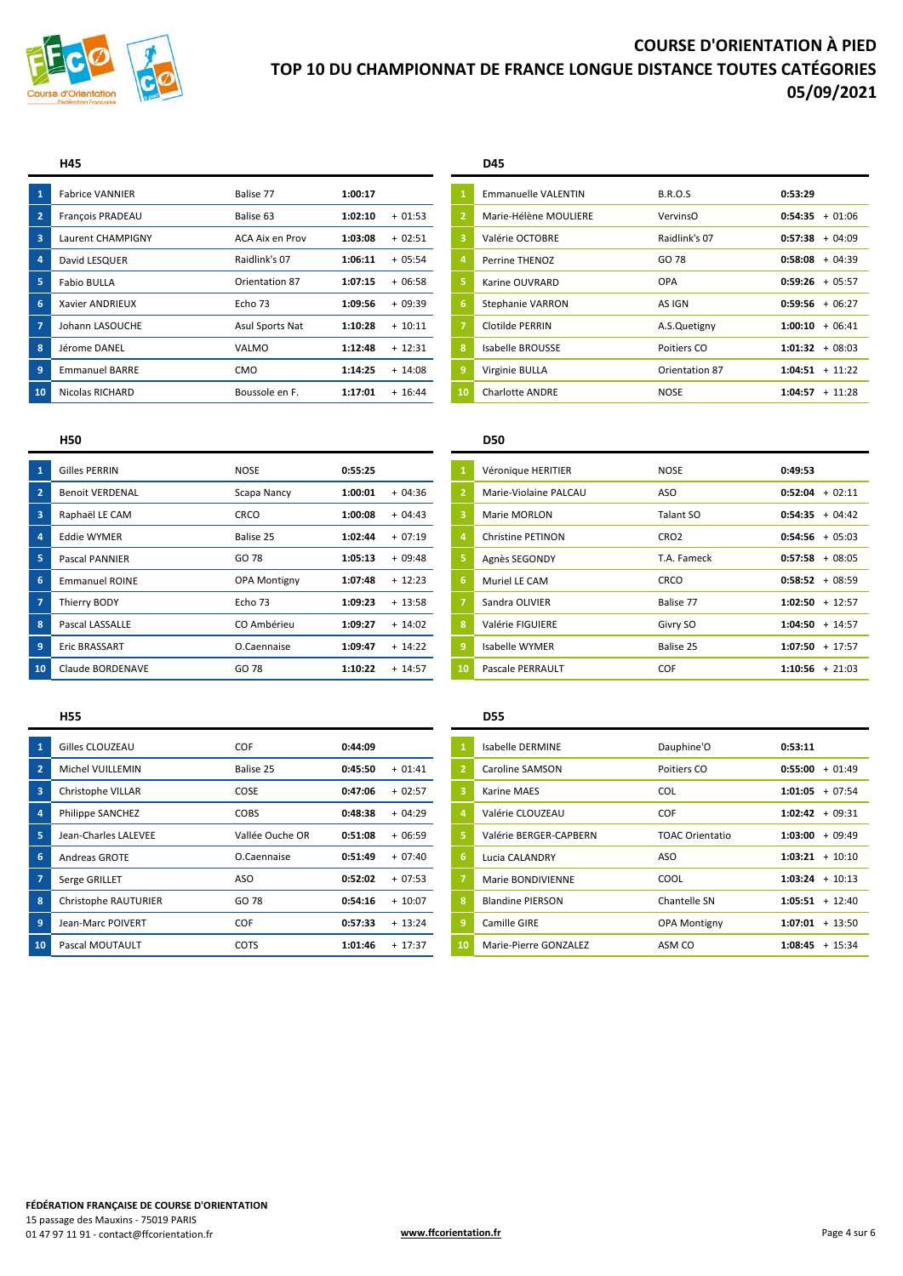

| $\mathbf{1}$   | <b>Fabrice VANNIER</b> | Balise 77       | 1:00:17 |           |    | <b>Emmanuelle VALENTIN</b> | <b>B.R.O.S</b> | 0:53:29             |
|----------------|------------------------|-----------------|---------|-----------|----|----------------------------|----------------|---------------------|
| $\overline{2}$ | François PRADEAU       | Balise 63       | 1:02:10 | $+01:53$  |    | Marie-Hélène MOULIERE      | VervinsO       | $+01:06$<br>0:54:35 |
| 3              | Laurent CHAMPIGNY      | ACA Aix en Prov | 1:03:08 | $+02:51$  |    | Valérie OCTOBRE            | Raidlink's 07  | $+04:09$<br>0:57:38 |
| 4              | David LESQUER          | Raidlink's 07   | 1:06:11 | $+05:54$  |    | Perrine THENOZ             | GO 78          | $0:58:08 + 04:39$   |
| 5              | <b>Fabio BULLA</b>     | Orientation 87  | 1:07:15 | $+06:58$  |    | Karine OUVRARD             | OPA            | $0:59:26 + 05:57$   |
| 6              | Xavier ANDRIEUX        | Echo 73         | 1:09:56 | $+09:39$  |    | Stephanie VARRON           | AS IGN         | $+06:27$<br>0:59:56 |
| -7             | Johann LASOUCHE        | Asul Sports Nat | 1:10:28 | $+10:11$  |    | Clotilde PERRIN            | A.S.Quetigny   | $1:00:10 + 06:41$   |
| 8              | Jérome DANEL           | VALMO           | 1:12:48 | $+12:31$  | 8  | Isabelle BROUSSE           | Poitiers CO    | $1:01:32 + 08:03$   |
| $\overline{9}$ | <b>Emmanuel BARRE</b>  | CMO             | 1:14:25 | $+ 14:08$ |    | Virginie BULLA             | Orientation 87 | $1:04:51 + 11:22$   |
| 10             | Nicolas RICHARD        | Boussole en F.  | 1:17:01 | $+ 16:44$ | 10 | <b>Charlotte ANDRE</b>     | <b>NOSE</b>    | $1:04:57 + 11:28$   |

### **H45 D45**

| <b>Fabrice VANNIER</b> | Balise 77       | 1:00:17 |           |                         | Emmanuelle VALENTIN    | <b>B.R.O.S</b> | 0:53:29           |
|------------------------|-----------------|---------|-----------|-------------------------|------------------------|----------------|-------------------|
| François PRADEAU       | Balise 63       | 1:02:10 | $+01:53$  | $\mathbf{2}^{\prime}$   | Marie-Hélène MOULIERE  | VervinsO       | $0:54:35 + 01:06$ |
| Laurent CHAMPIGNY      | ACA Aix en Prov | 1:03:08 | $+02:51$  | $\overline{\mathbf{3}}$ | Valérie OCTOBRE        | Raidlink's 07  | $0:57:38 + 04:09$ |
| David LESQUER          | Raidlink's 07   | 1:06:11 | $+05:54$  | $\overline{a}$          | Perrine THENOZ         | GO 78          | $0:58:08 + 04:39$ |
| <b>Fabio BULLA</b>     | Orientation 87  | 1:07:15 | $+06:58$  | 5                       | Karine OUVRARD         | <b>OPA</b>     | $0:59:26 + 05:57$ |
| Xavier ANDRIEUX        | Echo 73         | 1:09:56 | $+09:39$  | 6                       | Stephanie VARRON       | AS IGN         | $0:59:56 + 06:27$ |
| Johann LASOUCHE        | Asul Sports Nat | 1:10:28 | $+10:11$  | $\overline{7}$          | Clotilde PERRIN        | A.S.Quetigny   | $1:00:10 + 06:41$ |
| Jérome DANEL           | VALMO           | 1:12:48 | $+12:31$  | 8                       | Isabelle BROUSSE       | Poitiers CO    | $1:01:32 + 08:03$ |
| <b>Emmanuel BARRE</b>  | <b>CMO</b>      | 1:14:25 | $+ 14:08$ | $\overline{9}$          | Virginie BULLA         | Orientation 87 | $1:04:51 + 11:22$ |
| Nicolas RICHARD        | Boussole en F.  | 1:17:01 | $+ 16:44$ | 10                      | <b>Charlotte ANDRE</b> | <b>NOSE</b>    | $1:04:57 + 11:28$ |
|                        |                 |         |           |                         |                        |                |                   |

|                         | <b>Gilles PERRIN</b>   | <b>NOSE</b>         | 0:55:25 |           |    | Véronique HERITIER       | <b>NOSE</b>      | 0:49:53           |
|-------------------------|------------------------|---------------------|---------|-----------|----|--------------------------|------------------|-------------------|
| $\overline{2}$          | <b>Benoit VERDENAL</b> | Scapa Nancy         | 1:00:01 | $+04:36$  |    | Marie-Violaine PALCAU    | ASO              | $0:52:04 + 02:11$ |
| $\overline{\mathbf{3}}$ | Raphaël LE CAM         | CRCO                | 1:00:08 | $+04:43$  |    | Marie MORLON             | Talant SO        | $0:54:35 + 04:42$ |
|                         | <b>Eddie WYMER</b>     | Balise 25           | 1:02:44 | $+07:19$  |    | <b>Christine PETINON</b> | CRO <sub>2</sub> | $0:54:56 + 05:03$ |
|                         | <b>Pascal PANNIER</b>  | GO 78               | 1:05:13 | $+09:48$  |    | Agnès SEGONDY            | T.A. Fameck      | $0:57:58 + 08:05$ |
| 6                       | <b>Emmanuel ROINE</b>  | <b>OPA Montigny</b> | 1:07:48 | $+12:23$  | 6  | Muriel LE CAM            | CRCO             | $0:58:52 + 08:59$ |
|                         | Thierry BODY           | Echo 73             | 1:09:23 | $+13:58$  |    | Sandra OLIVIER           | Balise 77        | $1:02:50 + 12:57$ |
| -8                      | Pascal LASSALLE        | CO Ambérieu         | 1:09:27 | $+ 14:02$ | 8  | Valérie FIGUIERE         | Givry SO         | $1:04:50 + 14:57$ |
|                         | Eric BRASSART          | O.Caennaise         | 1:09:47 | $+ 14:22$ |    | Isabelle WYMER           | Balise 25        | $1:07:50 + 17:57$ |
| 10                      | Claude BORDENAVE       | GO 78               | 1:10:22 | $+ 14:57$ | 10 | <b>Pascale PERRAULT</b>  | COF              | $1:10:56 + 21:03$ |
|                         |                        |                     |         |           |    |                          |                  |                   |

| $\overline{1}$          | Gilles CLOUZEAU         | COF             | 0:44:09 |           |    | Isabelle DERMINE        | Dauphine'O             | 0:53:11           |          |
|-------------------------|-------------------------|-----------------|---------|-----------|----|-------------------------|------------------------|-------------------|----------|
| $\overline{2}$          | Michel VUILLEMIN        | Balise 25       | 0:45:50 | $+01:41$  |    | Caroline SAMSON         | Poitiers CO            | 0:55:00           | $+01:49$ |
| $\overline{\mathbf{3}}$ | Christophe VILLAR       | <b>COSE</b>     | 0:47:06 | $+02:57$  | з  | Karine MAES             | <b>COL</b>             | 1:01:05           | $+07:54$ |
| $\overline{4}$          | <b>Philippe SANCHEZ</b> | <b>COBS</b>     | 0:48:38 | $+04:29$  |    | Valérie CLOUZEAU        | COF                    | $1:02:42 + 09:31$ |          |
| 5                       | Jean-Charles LALEVEE    | Vallée Ouche OR | 0:51:08 | $+06:59$  |    | Valérie BERGER-CAPBERN  | <b>TOAC Orientatio</b> | $1:03:00 + 09:49$ |          |
| 6                       | <b>Andreas GROTE</b>    | O.Caennaise     | 0:51:49 | $+07:40$  | 6  | Lucia CALANDRY          | ASO                    | 1:03:21           | + 10:10  |
| $\sqrt{7}$              | Serge GRILLET           | ASO             | 0:52:02 | $+07:53$  |    | Marie BONDIVIENNE       | COOL                   | $1:03:24 + 10:13$ |          |
| $\overline{\mathbf{8}}$ | Christophe RAUTURIER    | GO 78           | 0:54:16 | $+10:07$  | 8  | <b>Blandine PIERSON</b> | Chantelle SN           | $1:05:51 + 12:40$ |          |
| $\overline{9}$          | Jean-Marc POIVERT       | COF             | 0:57:33 | $+ 13:24$ | 9  | Camille GIRE            | <b>OPA Montigny</b>    | $1:07:01 + 13:50$ |          |
| 10                      | Pascal MOUTAULT         | <b>COTS</b>     | 1:01:46 | $+17:37$  | 10 | Marie-Pierre GONZALEZ   | ASM CO                 | $1:08:45 + 15:34$ |          |

## **H50 D50**

| $\mathbf{1}$   | Véronique HERITIER       | <b>NOSE</b>      | 0:49:53              |
|----------------|--------------------------|------------------|----------------------|
| $\overline{2}$ | Marie-Violaine PALCAU    | ASO              | $+02:11$<br>0:52:04  |
| 3              | Marie MORLON             | Talant SO        | 0:54:35<br>$+04:42$  |
| $\overline{a}$ | <b>Christine PETINON</b> | CRO <sub>2</sub> | 0:54:56<br>$+05:03$  |
| 5              | Agnès SEGONDY            | T.A. Fameck      | $+08:05$<br>0:57:58  |
| 6              | Muriel LE CAM            | <b>CRCO</b>      | 0:58:52<br>$+08:59$  |
| $\overline{7}$ | Sandra OLIVIER           | Balise 77        | 1:02:50<br>$+12:57$  |
| 8              | Valérie FIGUIERE         | Givry SO         | 1:04:50<br>$+ 14:57$ |
| 9              | <b>Isabelle WYMER</b>    | Balise 25        | 1:07:50<br>$+ 17:57$ |
| 10             | Pascale PERRAULT         | COF              | 1:10:56<br>$+21:03$  |

## **H55 D55**

|     | Gilles CLOUZEAU      | COF             | 0:44:09 |           |    | Isabelle DERMINE        | Dauphine'O             | 0:53:11           |
|-----|----------------------|-----------------|---------|-----------|----|-------------------------|------------------------|-------------------|
|     | Michel VUILLEMIN     | Balise 25       | 0:45:50 | $+01:41$  |    | Caroline SAMSON         | Poitiers CO            | $0:55:00 + 01:49$ |
|     | Christophe VILLAR    | COSE            | 0:47:06 | $+02:57$  | 3  | Karine MAES             | <b>COL</b>             | $1:01:05 + 07:54$ |
|     | Philippe SANCHEZ     | <b>COBS</b>     | 0:48:38 | $+04:29$  |    | Valérie CLOUZEAU        | COF                    | $1:02:42 + 09:31$ |
|     | Jean-Charles LALEVEE | Vallée Ouche OR | 0:51:08 | $+06:59$  | 5. | Valérie BERGER-CAPBERN  | <b>TOAC Orientatio</b> | $1:03:00 + 09:49$ |
|     | <b>Andreas GROTE</b> | O.Caennaise     | 0:51:49 | $+07:40$  | 6  | Lucia CALANDRY          | <b>ASO</b>             | $1:03:21 + 10:10$ |
|     | Serge GRILLET        | ASO             | 0:52:02 | $+07:53$  |    | Marie BONDIVIENNE       | COOL                   | $1:03:24 + 10:13$ |
|     | Christophe RAUTURIER | GO 78           | 0:54:16 | $+10:07$  | 8  | <b>Blandine PIERSON</b> | Chantelle SN           | $1:05:51 + 12:40$ |
|     | Jean-Marc POIVERT    | COF             | 0:57:33 | $+ 13:24$ | 9  | Camille GIRE            | <b>OPA Montigny</b>    | $1:07:01 + 13:50$ |
| LO. | Pascal MOUTAULT      | <b>COTS</b>     | 1:01:46 | $+ 17:37$ | 10 | Marie-Pierre GONZALEZ   | ASM CO                 | $1:08:45 + 15:34$ |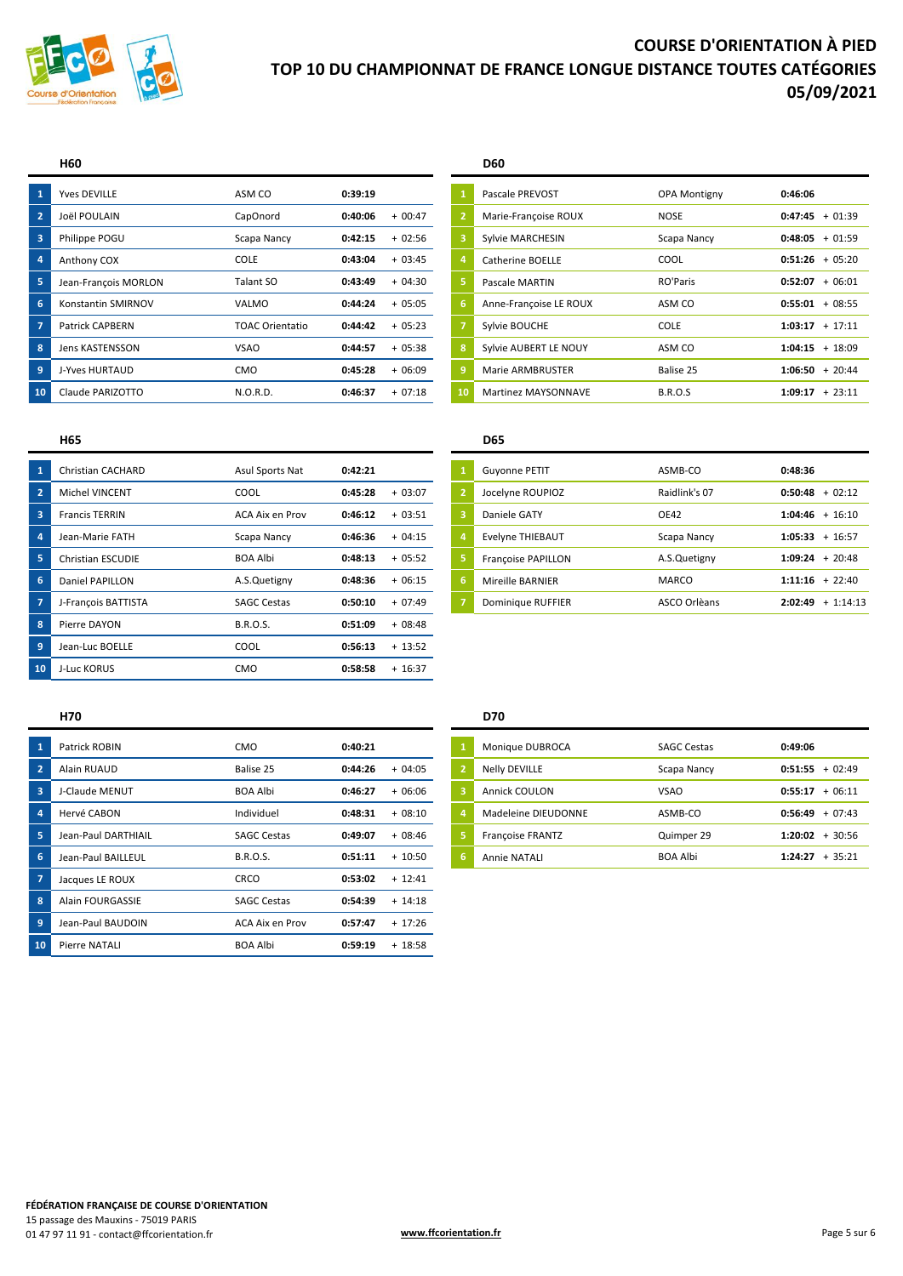

|    | <b>Yves DEVILLE</b>    | ASM CO          | 0:39:19 |          |    | Pascale PREVOST         | <b>OPA Montigny</b> | 0:46:06              |
|----|------------------------|-----------------|---------|----------|----|-------------------------|---------------------|----------------------|
|    | Joël POULAIN           | CapOnord        | 0:40:06 | $+00:47$ |    | Marie-Françoise ROUX    | <b>NOSE</b>         | 0:47:45<br>$+01:39$  |
|    | Philippe POGU          | Scapa Nancy     | 0:42:15 | $+02:56$ |    | Sylvie MARCHESIN        | Scapa Nancy         | $+01:59$<br>0:48:05  |
|    | Anthony COX            | <b>COLE</b>     | 0:43:04 | $+03:45$ |    | Catherine BOELLE        | COOL                | $0:51:26 + 05:20$    |
|    | Jean-François MORLON   | Talant SO       | 0:43:49 | $+04:30$ |    | Pascale MARTIN          | RO'Paris            | $+06:01$<br>0:52:07  |
| 6  | Konstantin SMIRNOV     | VALMO           | 0:44:24 | $+05:05$ | ь  | Anne-Françoise LE ROUX  | ASM CO              | $+08:55$<br>0:55:01  |
|    | <b>Patrick CAPBERN</b> | TOAC Orientatio | 0:44:42 | $+05:23$ |    | Sylvie BOUCHE           | <b>COLE</b>         | $1:03:17 + 17:11$    |
| 8  | Jens KASTENSSON        | <b>VSAO</b>     | 0:44:57 | $+05:38$ |    | Sylvie AUBERT LE NOUY   | ASM CO              | $+ 18:09$<br>1:04:15 |
|    | J-Yves HURTAUD         | <b>CMO</b>      | 0:45:28 | $+06:09$ |    | <b>Marie ARMBRUSTER</b> | Balise 25           | $+20:44$<br>1:06:50  |
| 10 | Claude PARIZOTTO       | N.O.R.D.        | 0:46:37 | $+07:18$ | 10 | Martinez MAYSONNAVE     | <b>B.R.O.S</b>      | $+23:11$<br>1:09:17  |

### **H60 D60**

|    | <b>Yves DEVILLE</b>    | ASM CO                 | 0:39:19 |          |                | Pascale PREVOST         | <b>OPA Montigny</b> | 0:46:06           |
|----|------------------------|------------------------|---------|----------|----------------|-------------------------|---------------------|-------------------|
|    | Joël POULAIN           | CapOnord               | 0:40:06 | $+00:47$ | $\overline{2}$ | Marie-Françoise ROUX    | <b>NOSE</b>         | $0:47:45 + 01:39$ |
|    | Philippe POGU          | Scapa Nancy            | 0:42:15 | $+02:56$ | з              | Sylvie MARCHESIN        | Scapa Nancy         | $0:48:05 + 01:59$ |
|    | Anthony COX            | <b>COLE</b>            | 0:43:04 | $+03:45$ | $\overline{a}$ | Catherine BOELLE        | <b>COOL</b>         | $0:51:26 + 05:20$ |
|    | Jean-François MORLON   | Talant SO              | 0:43:49 | $+04:30$ |                | Pascale MARTIN          | RO'Paris            | $0:52:07 + 06:01$ |
|    | Konstantin SMIRNOV     | VALMO                  | 0:44:24 | $+05:05$ | 16.            | Anne-Françoise LE ROUX  | ASM CO              | $0:55:01 + 08:55$ |
|    | <b>Patrick CAPBERN</b> | <b>TOAC Orientatio</b> | 0:44:42 | $+05:23$ | 7              | Sylvie BOUCHE           | <b>COLE</b>         | $1:03:17 + 17:11$ |
|    | Jens KASTENSSON        | <b>VSAO</b>            | 0:44:57 | $+05:38$ | 8              | Sylvie AUBERT LE NOUY   | ASM CO              | $1:04:15 + 18:09$ |
|    | J-Yves HURTAUD         | <b>CMO</b>             | 0:45:28 | $+06:09$ | 9              | <b>Marie ARMBRUSTER</b> | Balise 25           | $1:06:50 + 20:44$ |
| ۱O | Claude PARIZOTTO       | N.O.R.D.               | 0:46:37 | $+07:18$ | 10             | Martinez MAYSONNAVE     | <b>B.R.O.S</b>      | $1:09:17 + 23:11$ |
|    |                        |                        |         |          |                |                         |                     |                   |

### **H65 D65**

|    | Christian CACHARD        | Asul Sports Nat    | 0:42:21 |           |    | <b>Guyonne PETIT</b>      | ASMB-CO       | 0:48:36 |                     |
|----|--------------------------|--------------------|---------|-----------|----|---------------------------|---------------|---------|---------------------|
|    | Michel VINCENT           | <b>COOL</b>        | 0:45:28 | $+03:07$  |    | Jocelyne ROUPIOZ          | Raidlink's 07 |         | $0:50:48 + 02:12$   |
| B  | <b>Francis TERRIN</b>    | ACA Aix en Prov    | 0:46:12 | $+03:51$  | B  | Daniele GATY              | <b>OE42</b>   |         | $1:04:46 + 16:10$   |
|    | Jean-Marie FATH          | Scapa Nancy        | 0:46:36 | $+04:15$  |    | <b>Evelyne THIEBAUT</b>   | Scapa Nancy   |         | $1:05:33 + 16:57$   |
|    | <b>Christian ESCUDIE</b> | <b>BOA Albi</b>    | 0:48:13 | $+05:52$  |    | <b>Françoise PAPILLON</b> | A.S.Quetigny  |         | $1:09:24 + 20:48$   |
| 6  | Daniel PAPILLON          | A.S.Quetigny       | 0:48:36 | $+06:15$  | -6 | Mireille BARNIER          | <b>MARCO</b>  |         | $1:11:16 + 22:40$   |
|    | J-François BATTISTA      | <b>SAGC Cestas</b> | 0:50:10 | $+07:49$  |    | Dominique RUFFIER         | ASCO Orlèans  |         | $2:02:49 + 1:14:13$ |
| 8  | Pierre DAYON             | <b>B.R.O.S.</b>    | 0:51:09 | $+08:48$  |    |                           |               |         |                     |
| 9  | Jean-Luc BOELLE          | COOL               | 0:56:13 | $+ 13:52$ |    |                           |               |         |                     |
| 10 | J-Luc KORUS              | CMO                | 0:58:58 | $+ 16:37$ |    |                           |               |         |                     |
|    |                          |                    |         |           |    |                           |               |         |                     |

| Christian CACHARD        | Asul Sports Nat    | 0:42:21 |          |    | <b>Guyonne PETIT</b> | ASMB-CO       | 0:48:36 |                   |
|--------------------------|--------------------|---------|----------|----|----------------------|---------------|---------|-------------------|
| Michel VINCENT           | COOL               | 0:45:28 | $+03:07$ |    | Jocelyne ROUPIOZ     | Raidlink's 07 |         | $0:50:48 + 02:12$ |
| <b>Francis TERRIN</b>    | ACA Aix en Prov    | 0:46:12 | $+03:51$ |    | Daniele GATY         | <b>OE42</b>   |         | $1:04:46 + 16:10$ |
| Jean-Marie FATH          | Scapa Nancy        | 0:46:36 | $+04:15$ |    | Evelyne THIEBAUT     | Scapa Nancy   | 1:05:33 | $+16:57$          |
| <b>Christian ESCUDIE</b> | BOA Albi           | 0:48:13 | $+05:52$ |    | Françoise PAPILLON   | A.S.Quetigny  |         | $1:09:24 + 20:48$ |
| Daniel PAPILLON          | A.S.Quetigny       | 0:48:36 | $+06:15$ | 6. | Mireille BARNIER     | MARCO         |         | $1:11:16 + 22:40$ |
| J-François BATTISTA      | <b>SAGC Cestas</b> | 0:50:10 | $+07:49$ |    | Dominique RUFFIER    | ASCO Orlèans  | 2:02:49 | $+1:14:13$        |

|                | Patrick ROBIN       | <b>CMO</b>         | 0:40:21 |           |                | Monique DUBROCA         | <b>SAGC Cestas</b> | 0:49:06 |
|----------------|---------------------|--------------------|---------|-----------|----------------|-------------------------|--------------------|---------|
| $\overline{2}$ | Alain RUAUD         | Balise 25          | 0:44:26 | $+04:05$  | $\overline{2}$ | <b>Nelly DEVILLE</b>    | Scapa Nancy        | 0:51:55 |
| 3              | J-Claude MENUT      | <b>BOA Albi</b>    | 0:46:27 | $+06:06$  | 3              | Annick COULON           | <b>VSAO</b>        | 0:55:17 |
| 4              | Hervé CABON         | Individuel         | 0:48:31 | $+08:10$  | $\overline{a}$ | Madeleine DIEUDONNE     | ASMB-CO            | 0:56:49 |
| 5              | Jean-Paul DARTHIAIL | <b>SAGC Cestas</b> | 0:49:07 | $+08:46$  | 5              | <b>Françoise FRANTZ</b> | Quimper 29         | 1:20:02 |
| 6              | Jean-Paul BAILLEUL  | <b>B.R.O.S.</b>    | 0:51:11 | $+10:50$  | 6              | <b>Annie NATALI</b>     | <b>BOA Albi</b>    | 1:24:27 |
|                | Jacques LE ROUX     | <b>CRCO</b>        | 0:53:02 | $+ 12:41$ |                |                         |                    |         |
| 8              | Alain FOURGASSIE    | <b>SAGC Cestas</b> | 0:54:39 | $+ 14:18$ |                |                         |                    |         |
| 9              | Jean-Paul BAUDOIN   | ACA Aix en Prov    | 0:57:47 | $+ 17:26$ |                |                         |                    |         |
| 10             | Pierre NATALI       | <b>BOA Albi</b>    | 0:59:19 | $+18:58$  |                |                         |                    |         |

## **H70 D70**

| Patrick ROBIN       | CMO                | 0:40:21 |          | Monique DUBROCA      | <b>SAGC Cestas</b> | 0:49:06           |
|---------------------|--------------------|---------|----------|----------------------|--------------------|-------------------|
| Alain RUAUD         | Balise 25          | 0:44:26 | $+04:05$ | <b>Nelly DEVILLE</b> | Scapa Nancy        | $0:51:55 + 02:49$ |
| J-Claude MENUT      | <b>BOA Albi</b>    | 0:46:27 | $+06:06$ | Annick COULON        | <b>VSAO</b>        | $0:55:17 + 06:11$ |
| Hervé CABON         | Individuel         | 0:48:31 | $+08:10$ | Madeleine DIEUDONNE  | ASMB-CO            | $0:56:49 + 07:43$ |
| Jean-Paul DARTHIAIL | <b>SAGC Cestas</b> | 0:49:07 | $+08:46$ | Françoise FRANTZ     | Quimper 29         | $1:20:02 + 30:56$ |
| Jean-Paul BAILLEUL  | <b>B.R.O.S.</b>    | 0:51:11 | $+10:50$ | Annie NATALI         | BOA Albi           | $1:24:27 + 35:21$ |